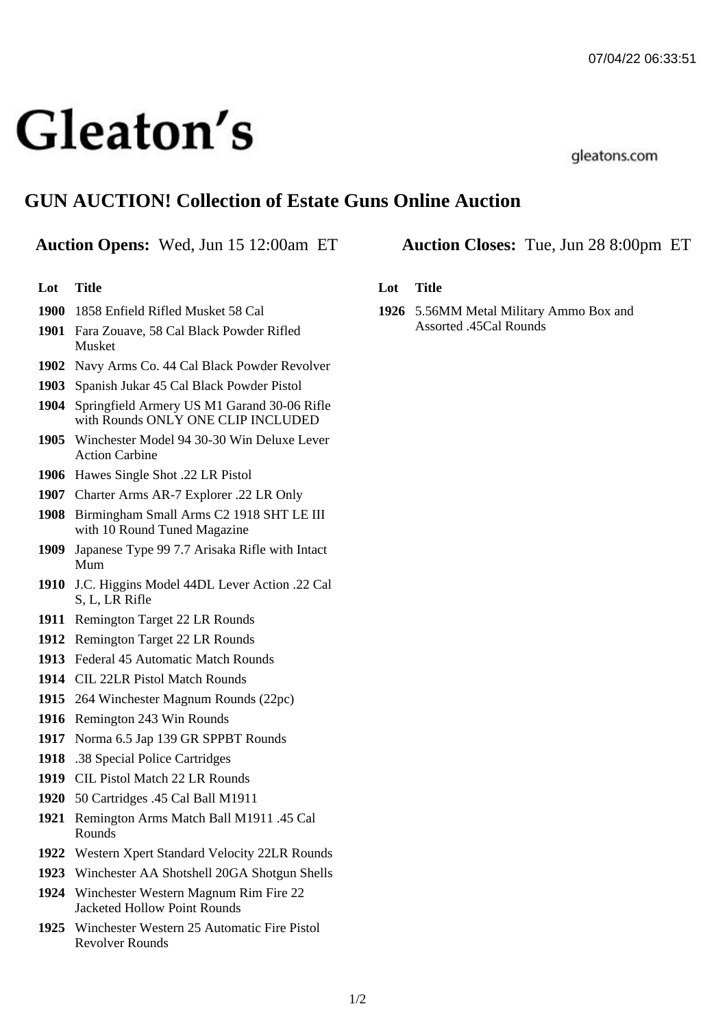# Gleaton's

gleatons.com

# **GUN AUCTION! Collection of Estate Guns Online Auction**

## **Auction Opens:** Wed, Jun 15 12:00am ET **Auction Closes:** Tue, Jun 28 8:00pm ET

### **Lot Title**

- **1900** 1858 Enfield Rifled Musket 58 Cal
- **1901** Fara Zouave, 58 Cal Black Powder Rifled Musket
- **1902** Navy Arms Co. 44 Cal Black Powder Revolver
- **1903** Spanish Jukar 45 Cal Black Powder Pistol
- **1904** Springfield Armery US M1 Garand 30-06 Rifle with Rounds ONLY ONE CLIP INCLUDED
- **1905** Winchester Model 94 30-30 Win Deluxe Lever Action Carbine
- **1906** Hawes Single Shot .22 LR Pistol
- **1907** Charter Arms AR-7 Explorer .22 LR Only
- **1908** Birmingham Small Arms C2 1918 SHT LE III with 10 Round Tuned Magazine
- **1909** Japanese Type 99 7.7 Arisaka Rifle with Intact Mum
- **1910** J.C. Higgins Model 44DL Lever Action .22 Cal S, L, LR Rifle
- **1911** Remington Target 22 LR Rounds
- **1912** Remington Target 22 LR Rounds
- **1913** Federal 45 Automatic Match Rounds
- **1914** CIL 22LR Pistol Match Rounds
- **1915** 264 Winchester Magnum Rounds (22pc)
- **1916** Remington 243 Win Rounds
- **1917** Norma 6.5 Jap 139 GR SPPBT Rounds
- **1918** .38 Special Police Cartridges
- **1919** CIL Pistol Match 22 LR Rounds
- **1920** 50 Cartridges .45 Cal Ball M1911
- **1921** Remington Arms Match Ball M1911 .45 Cal Rounds
- **1922** Western Xpert Standard Velocity 22LR Rounds
- **1923** Winchester AA Shotshell 20GA Shotgun Shells
- **1924** Winchester Western Magnum Rim Fire 22 Jacketed Hollow Point Rounds
- **1925** Winchester Western 25 Automatic Fire Pistol Revolver Rounds

### **Lot Title**

**1926** 5.56MM Metal Military Ammo Box and Assorted .45Cal Rounds